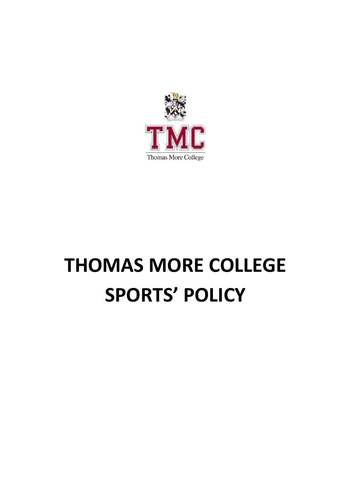

# **THOMAS MORE COLLEGE SPORTS' POLICY**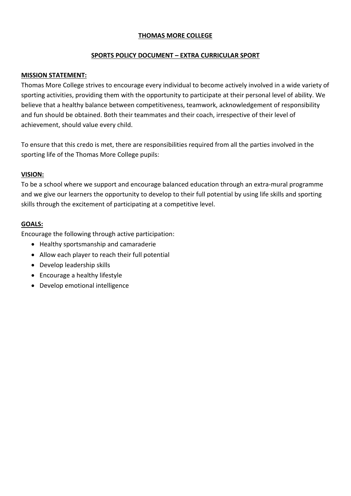## **THOMAS MORE COLLEGE**

#### **SPORTS POLICY DOCUMENT – EXTRA CURRICULAR SPORT**

#### **MISSION STATEMENT:**

Thomas More College strives to encourage every individual to become actively involved in a wide variety of sporting activities, providing them with the opportunity to participate at their personal level of ability. We believe that a healthy balance between competitiveness, teamwork, acknowledgement of responsibility and fun should be obtained. Both their teammates and their coach, irrespective of their level of achievement, should value every child.

To ensure that this credo is met, there are responsibilities required from all the parties involved in the sporting life of the Thomas More College pupils:

#### **VISION:**

To be a school where we support and encourage balanced education through an extra-mural programme and we give our learners the opportunity to develop to their full potential by using life skills and sporting skills through the excitement of participating at a competitive level.

#### **GOALS:**

Encourage the following through active participation:

- Healthy sportsmanship and camaraderie
- Allow each player to reach their full potential
- Develop leadership skills
- Encourage a healthy lifestyle
- Develop emotional intelligence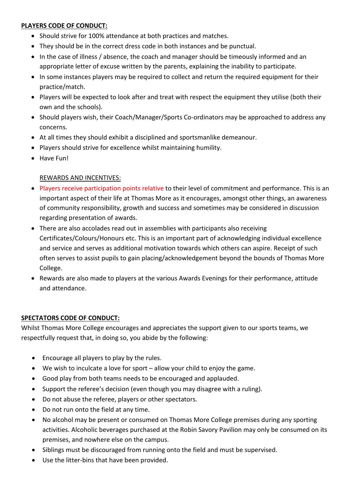## **PLAYERS CODE OF CONDUCT:**

- Should strive for 100% attendance at both practices and matches.
- They should be in the correct dress code in both instances and be punctual.
- In the case of illness / absence, the coach and manager should be timeously informed and an appropriate letter of excuse written by the parents, explaining the inability to participate.
- In some instances players may be required to collect and return the required equipment for their practice/match.
- Players will be expected to look after and treat with respect the equipment they utilise (both their own and the schools).
- Should players wish, their Coach/Manager/Sports Co-ordinators may be approached to address any concerns.
- At all times they should exhibit a disciplined and sportsmanlike demeanour.
- Players should strive for excellence whilst maintaining humility.
- Have Fun!

# REWARDS AND INCENTIVES:

- Players receive participation points relative to their level of commitment and performance. This is an important aspect of their life at Thomas More as it encourages, amongst other things, an awareness of community responsibility, growth and success and sometimes may be considered in discussion regarding presentation of awards.
- There are also accolades read out in assemblies with participants also receiving Certificates/Colours/Honours etc. This is an important part of acknowledging individual excellence and service and serves as additional motivation towards which others can aspire. Receipt of such often serves to assist pupils to gain placing/acknowledgement beyond the bounds of Thomas More College.
- Rewards are also made to players at the various Awards Evenings for their performance, attitude and attendance.

## **SPECTATORS CODE OF CONDUCT:**

Whilst Thomas More College encourages and appreciates the support given to our sports teams, we respectfully request that, in doing so, you abide by the following:

- Encourage all players to play by the rules.
- We wish to inculcate a love for sport allow your child to enjoy the game.
- Good play from both teams needs to be encouraged and applauded.
- Support the referee's decision (even though you may disagree with a ruling).
- Do not abuse the referee, players or other spectators.
- Do not run onto the field at any time.
- No alcohol may be present or consumed on Thomas More College premises during any sporting activities. Alcoholic beverages purchased at the Robin Savory Pavilion may only be consumed on its premises, and nowhere else on the campus.
- Siblings must be discouraged from running onto the field and must be supervised.
- Use the litter-bins that have been provided.